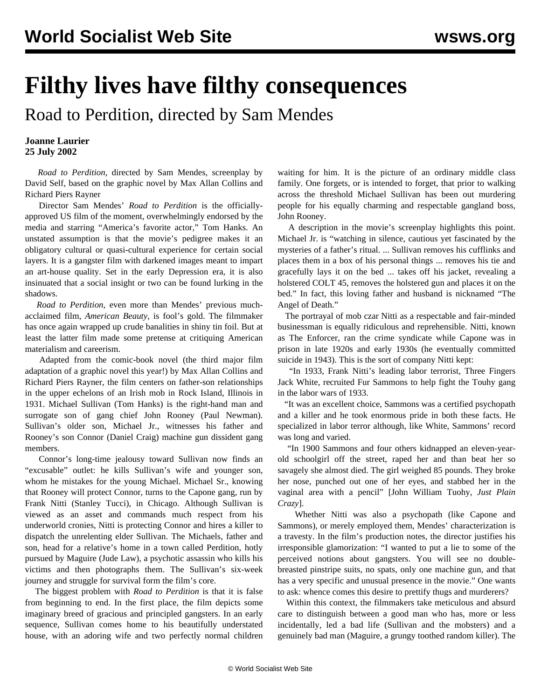## **Filthy lives have filthy consequences**

Road to Perdition, directed by Sam Mendes

## **Joanne Laurier 25 July 2002**

 *Road to Perdition*, directed by Sam Mendes, screenplay by David Self, based on the graphic novel by Max Allan Collins and Richard Piers Rayner

 Director Sam Mendes' *Road to Perdition* is the officiallyapproved US film of the moment, overwhelmingly endorsed by the media and starring "America's favorite actor," Tom Hanks. An unstated assumption is that the movie's pedigree makes it an obligatory cultural or quasi-cultural experience for certain social layers. It is a gangster film with darkened images meant to impart an art-house quality. Set in the early Depression era, it is also insinuated that a social insight or two can be found lurking in the shadows.

 *Road to Perdition*, even more than Mendes' previous muchacclaimed film, *American Beauty*, is fool's gold. The filmmaker has once again wrapped up crude banalities in shiny tin foil. But at least the latter film made some pretense at critiquing American materialism and careerism.

 Adapted from the comic-book novel (the third major film adaptation of a graphic novel this year!) by Max Allan Collins and Richard Piers Rayner, the film centers on father-son relationships in the upper echelons of an Irish mob in Rock Island, Illinois in 1931. Michael Sullivan (Tom Hanks) is the right-hand man and surrogate son of gang chief John Rooney (Paul Newman). Sullivan's older son, Michael Jr., witnesses his father and Rooney's son Connor (Daniel Craig) machine gun dissident gang members.

 Connor's long-time jealousy toward Sullivan now finds an "excusable" outlet: he kills Sullivan's wife and younger son, whom he mistakes for the young Michael. Michael Sr., knowing that Rooney will protect Connor, turns to the Capone gang, run by Frank Nitti (Stanley Tucci), in Chicago. Although Sullivan is viewed as an asset and commands much respect from his underworld cronies, Nitti is protecting Connor and hires a killer to dispatch the unrelenting elder Sullivan. The Michaels, father and son, head for a relative's home in a town called Perdition, hotly pursued by Maguire (Jude Law), a psychotic assassin who kills his victims and then photographs them. The Sullivan's six-week journey and struggle for survival form the film's core.

 The biggest problem with *Road to Perdition* is that it is false from beginning to end. In the first place, the film depicts some imaginary breed of gracious and principled gangsters. In an early sequence, Sullivan comes home to his beautifully understated house, with an adoring wife and two perfectly normal children waiting for him. It is the picture of an ordinary middle class family. One forgets, or is intended to forget, that prior to walking across the threshold Michael Sullivan has been out murdering people for his equally charming and respectable gangland boss, John Rooney.

 A description in the movie's screenplay highlights this point. Michael Jr. is "watching in silence, cautious yet fascinated by the mysteries of a father's ritual. ... Sullivan removes his cufflinks and places them in a box of his personal things ... removes his tie and gracefully lays it on the bed ... takes off his jacket, revealing a holstered COLT 45, removes the holstered gun and places it on the bed." In fact, this loving father and husband is nicknamed "The Angel of Death."

 The portrayal of mob czar Nitti as a respectable and fair-minded businessman is equally ridiculous and reprehensible. Nitti, known as The Enforcer, ran the crime syndicate while Capone was in prison in late 1920s and early 1930s (he eventually committed suicide in 1943). This is the sort of company Nitti kept:

 "In 1933, Frank Nitti's leading labor terrorist, Three Fingers Jack White, recruited Fur Sammons to help fight the Touhy gang in the labor wars of 1933.

 "It was an excellent choice, Sammons was a certified psychopath and a killer and he took enormous pride in both these facts. He specialized in labor terror although, like White, Sammons' record was long and varied.

 "In 1900 Sammons and four others kidnapped an eleven-yearold schoolgirl off the street, raped her and than beat her so savagely she almost died. The girl weighed 85 pounds. They broke her nose, punched out one of her eyes, and stabbed her in the vaginal area with a pencil" [John William Tuohy, *Just Plain Crazy*].

 Whether Nitti was also a psychopath (like Capone and Sammons), or merely employed them, Mendes' characterization is a travesty. In the film's production notes, the director justifies his irresponsible glamorization: "I wanted to put a lie to some of the perceived notions about gangsters. You will see no doublebreasted pinstripe suits, no spats, only one machine gun, and that has a very specific and unusual presence in the movie." One wants to ask: whence comes this desire to prettify thugs and murderers?

 Within this context, the filmmakers take meticulous and absurd care to distinguish between a good man who has, more or less incidentally, led a bad life (Sullivan and the mobsters) and a genuinely bad man (Maguire, a grungy toothed random killer). The